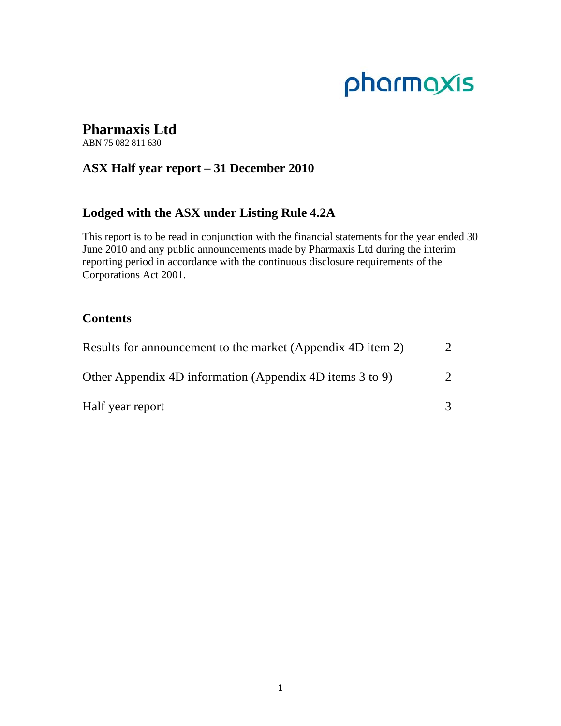# pharmaxis

# **Pharmaxis Ltd**

ABN 75 082 811 630

# **ASX Half year report – 31 December 2010**

# **Lodged with the ASX under Listing Rule 4.2A**

This report is to be read in conjunction with the financial statements for the year ended 30 June 2010 and any public announcements made by Pharmaxis Ltd during the interim reporting period in accordance with the continuous disclosure requirements of the Corporations Act 2001.

# **Contents**

| Results for announcement to the market (Appendix 4D item 2) |               |
|-------------------------------------------------------------|---------------|
| Other Appendix 4D information (Appendix 4D items 3 to 9)    | $\mathcal{D}$ |
| Half year report                                            |               |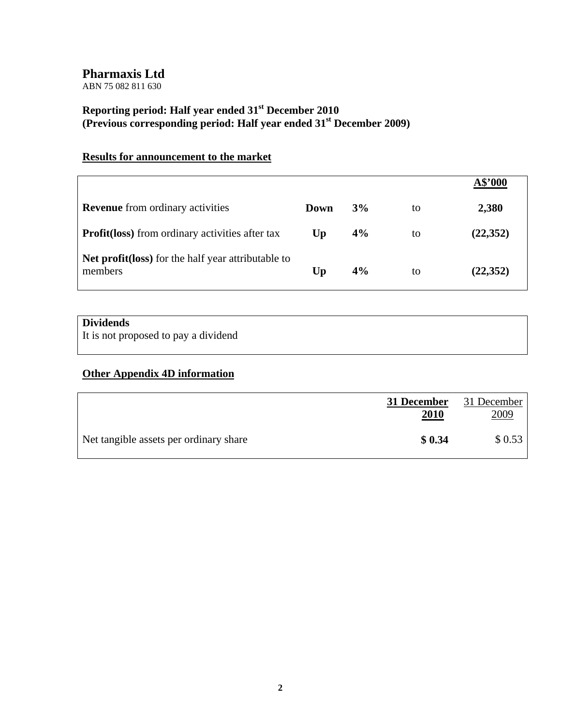ABN 75 082 811 630

# **Reporting period: Half year ended 31st December 2010 (Previous corresponding period: Half year ended 31st December 2009)**

# **Results for announcement to the market**

|                                                               |                |    |    | A\$'000   |
|---------------------------------------------------------------|----------------|----|----|-----------|
| <b>Revenue</b> from ordinary activities                       | Down           | 3% | to | 2,380     |
| <b>Profit (loss)</b> from ordinary activities after tax       | U <sub>p</sub> | 4% | to | (22, 352) |
| Net profit(loss) for the half year attributable to<br>members | Up             | 4% | to | (22, 352) |

# **Dividends**

It is not proposed to pay a dividend

# **Other Appendix 4D information**

|                                        | 31 December<br><u>2010</u> | 31 December<br>2009 |
|----------------------------------------|----------------------------|---------------------|
| Net tangible assets per ordinary share | \$0.34                     | \$0.53              |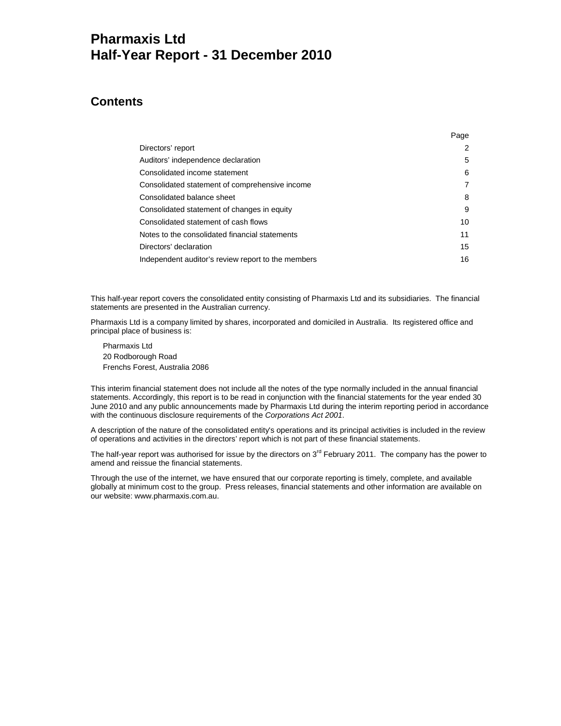# **Pharmaxis Ltd Half-Year Report - 31 December 2010**

# **Contents**

|                                                    | Page |
|----------------------------------------------------|------|
| Directors' report                                  | 2    |
| Auditors' independence declaration                 | 5    |
| Consolidated income statement                      | 6    |
| Consolidated statement of comprehensive income     | 7    |
| Consolidated balance sheet                         | 8    |
| Consolidated statement of changes in equity        | 9    |
| Consolidated statement of cash flows               | 10   |
| Notes to the consolidated financial statements     | 11   |
| Directors' declaration                             | 15   |
| Independent auditor's review report to the members | 16   |

This half-year report covers the consolidated entity consisting of Pharmaxis Ltd and its subsidiaries. The financial statements are presented in the Australian currency.

Pharmaxis Ltd is a company limited by shares, incorporated and domiciled in Australia. Its registered office and principal place of business is:

Pharmaxis Ltd 20 Rodborough Road Frenchs Forest, Australia 2086

This interim financial statement does not include all the notes of the type normally included in the annual financial statements. Accordingly, this report is to be read in conjunction with the financial statements for the year ended 30 June 2010 and any public announcements made by Pharmaxis Ltd during the interim reporting period in accordance with the continuous disclosure requirements of the *Corporations Act 2001*.

A description of the nature of the consolidated entity's operations and its principal activities is included in the review of operations and activities in the directors' report which is not part of these financial statements.

The half-year report was authorised for issue by the directors on 3<sup>rd</sup> February 2011. The company has the power to amend and reissue the financial statements.

Through the use of the internet, we have ensured that our corporate reporting is timely, complete, and available globally at minimum cost to the group. Press releases, financial statements and other information are available on our website: www.pharmaxis.com.au.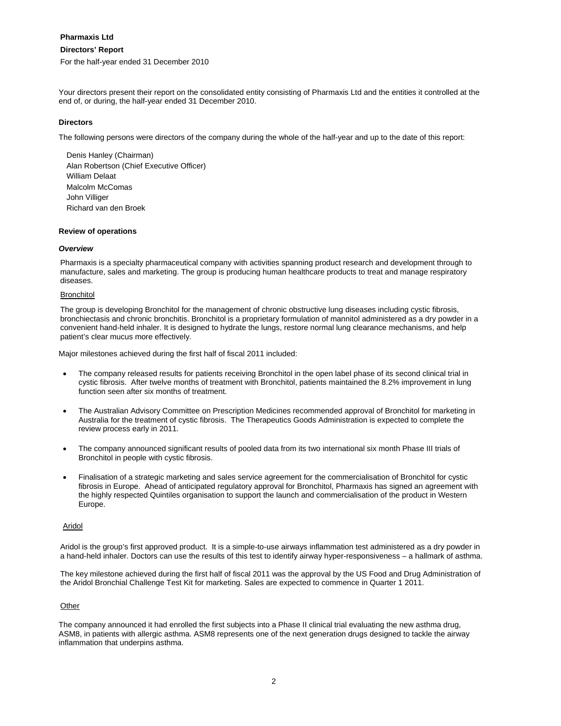# **Directors' Report**

For the half-year ended 31 December 2010

Your directors present their report on the consolidated entity consisting of Pharmaxis Ltd and the entities it controlled at the end of, or during, the half-year ended 31 December 2010.

# **Directors**

The following persons were directors of the company during the whole of the half-year and up to the date of this report:

Denis Hanley (Chairman) Alan Robertson (Chief Executive Officer) William Delaat Malcolm McComas John Villiger Richard van den Broek

## **Review of operations**

## *Overview*

Pharmaxis is a specialty pharmaceutical company with activities spanning product research and development through to manufacture, sales and marketing. The group is producing human healthcare products to treat and manage respiratory diseases.

#### Bronchitol

The group is developing Bronchitol for the management of chronic obstructive lung diseases including cystic fibrosis, bronchiectasis and chronic bronchitis. Bronchitol is a proprietary formulation of mannitol administered as a dry powder in a convenient hand-held inhaler. It is designed to hydrate the lungs, restore normal lung clearance mechanisms, and help patient's clear mucus more effectively.

Major milestones achieved during the first half of fiscal 2011 included:

- The company released results for patients receiving Bronchitol in the open label phase of its second clinical trial in cystic fibrosis. After twelve months of treatment with Bronchitol, patients maintained the 8.2% improvement in lung function seen after six months of treatment.
- The Australian Advisory Committee on Prescription Medicines recommended approval of Bronchitol for marketing in Australia for the treatment of cystic fibrosis. The Therapeutics Goods Administration is expected to complete the review process early in 2011.
- The company announced significant results of pooled data from its two international six month Phase III trials of Bronchitol in people with cystic fibrosis.
- Finalisation of a strategic marketing and sales service agreement for the commercialisation of Bronchitol for cystic fibrosis in Europe. Ahead of anticipated regulatory approval for Bronchitol, Pharmaxis has signed an agreement with the highly respected Quintiles organisation to support the launch and commercialisation of the product in Western Europe.

# Aridol

Aridol is the group's first approved product. It is a simple-to-use airways inflammation test administered as a dry powder in a hand-held inhaler. Doctors can use the results of this test to identify airway hyper-responsiveness – a hallmark of asthma.

The key milestone achieved during the first half of fiscal 2011 was the approval by the US Food and Drug Administration of the Aridol Bronchial Challenge Test Kit for marketing. Sales are expected to commence in Quarter 1 2011.

# **Other**

The company announced it had enrolled the first subjects into a Phase II clinical trial evaluating the new asthma drug, ASM8, in patients with allergic asthma. ASM8 represents one of the next generation drugs designed to tackle the airway inflammation that underpins asthma.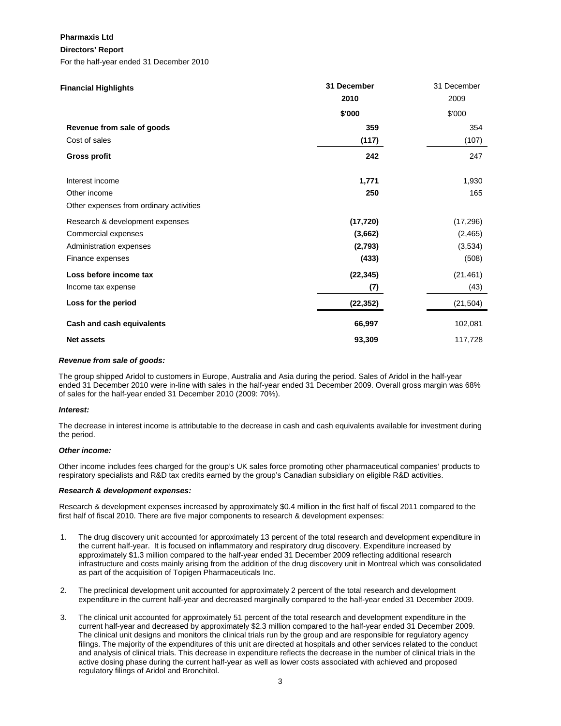## **Directors' Report**

For the half-year ended 31 December 2010

| <b>Financial Highlights</b>             | 31 December<br>2010 | 31 December<br>2009 |
|-----------------------------------------|---------------------|---------------------|
|                                         | \$'000              | \$'000              |
| Revenue from sale of goods              | 359                 | 354                 |
| Cost of sales                           | (117)               | (107)               |
| <b>Gross profit</b>                     | 242                 | 247                 |
| Interest income                         | 1,771               | 1,930               |
| Other income                            | 250                 | 165                 |
| Other expenses from ordinary activities |                     |                     |
| Research & development expenses         | (17, 720)           | (17, 296)           |
| Commercial expenses                     | (3,662)             | (2, 465)            |
| Administration expenses                 | (2,793)             | (3,534)             |
| Finance expenses                        | (433)               | (508)               |
| Loss before income tax                  | (22, 345)           | (21, 461)           |
| Income tax expense                      | (7)                 | (43)                |
| Loss for the period                     | (22, 352)           | (21, 504)           |
| Cash and cash equivalents               | 66,997              | 102,081             |
| <b>Net assets</b>                       | 93,309              | 117,728             |

## *Revenue from sale of goods:*

The group shipped Aridol to customers in Europe, Australia and Asia during the period. Sales of Aridol in the half-year ended 31 December 2010 were in-line with sales in the half-year ended 31 December 2009. Overall gross margin was 68% of sales for the half-year ended 31 December 2010 (2009: 70%).

## *Interest:*

The decrease in interest income is attributable to the decrease in cash and cash equivalents available for investment during the period.

## *Other income:*

Other income includes fees charged for the group's UK sales force promoting other pharmaceutical companies' products to respiratory specialists and R&D tax credits earned by the group's Canadian subsidiary on eligible R&D activities.

## *Research & development expenses:*

Research & development expenses increased by approximately \$0.4 million in the first half of fiscal 2011 compared to the first half of fiscal 2010. There are five major components to research & development expenses:

- 1. The drug discovery unit accounted for approximately 13 percent of the total research and development expenditure in the current half-year. It is focused on inflammatory and respiratory drug discovery. Expenditure increased by approximately \$1.3 million compared to the half-year ended 31 December 2009 reflecting additional research infrastructure and costs mainly arising from the addition of the drug discovery unit in Montreal which was consolidated as part of the acquisition of Topigen Pharmaceuticals Inc.
- 2. The preclinical development unit accounted for approximately 2 percent of the total research and development expenditure in the current half-year and decreased marginally compared to the half-year ended 31 December 2009.
- 3. The clinical unit accounted for approximately 51 percent of the total research and development expenditure in the current half-year and decreased by approximately \$2.3 million compared to the half-year ended 31 December 2009. The clinical unit designs and monitors the clinical trials run by the group and are responsible for regulatory agency filings. The majority of the expenditures of this unit are directed at hospitals and other services related to the conduct and analysis of clinical trials. This decrease in expenditure reflects the decrease in the number of clinical trials in the active dosing phase during the current half-year as well as lower costs associated with achieved and proposed regulatory filings of Aridol and Bronchitol.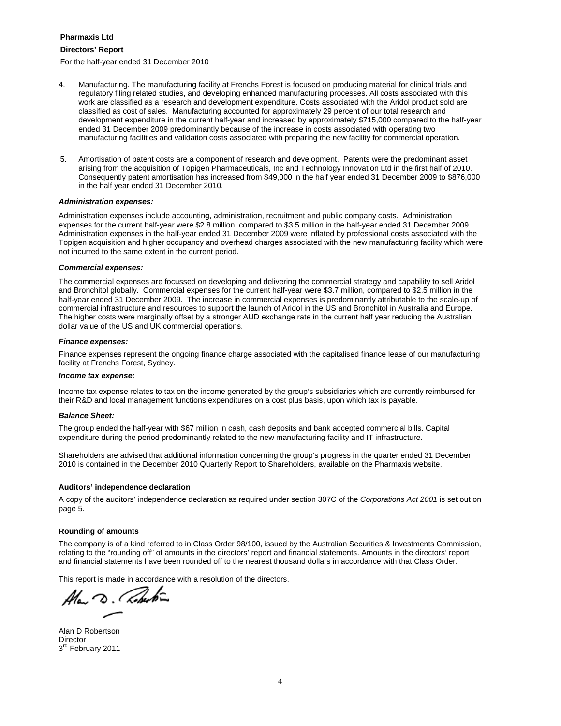## **Directors' Report**

For the half-year ended 31 December 2010

- 4. Manufacturing. The manufacturing facility at Frenchs Forest is focused on producing material for clinical trials and regulatory filing related studies, and developing enhanced manufacturing processes. All costs associated with this work are classified as a research and development expenditure. Costs associated with the Aridol product sold are classified as cost of sales. Manufacturing accounted for approximately 29 percent of our total research and development expenditure in the current half-year and increased by approximately \$715,000 compared to the half-year ended 31 December 2009 predominantly because of the increase in costs associated with operating two manufacturing facilities and validation costs associated with preparing the new facility for commercial operation.
- 5. Amortisation of patent costs are a component of research and development. Patents were the predominant asset arising from the acquisition of Topigen Pharmaceuticals, Inc and Technology Innovation Ltd in the first half of 2010. Consequently patent amortisation has increased from \$49,000 in the half year ended 31 December 2009 to \$876,000 in the half year ended 31 December 2010.

#### *Administration expenses:*

Administration expenses include accounting, administration, recruitment and public company costs. Administration expenses for the current half-year were \$2.8 million, compared to \$3.5 million in the half-year ended 31 December 2009. Administration expenses in the half-year ended 31 December 2009 were inflated by professional costs associated with the Topigen acquisition and higher occupancy and overhead charges associated with the new manufacturing facility which were not incurred to the same extent in the current period.

#### *Commercial expenses:*

The commercial expenses are focussed on developing and delivering the commercial strategy and capability to sell Aridol and Bronchitol globally. Commercial expenses for the current half-year were \$3.7 million, compared to \$2.5 million in the half-year ended 31 December 2009. The increase in commercial expenses is predominantly attributable to the scale-up of commercial infrastructure and resources to support the launch of Aridol in the US and Bronchitol in Australia and Europe. The higher costs were marginally offset by a stronger AUD exchange rate in the current half year reducing the Australian dollar value of the US and UK commercial operations.

#### *Finance expenses:*

Finance expenses represent the ongoing finance charge associated with the capitalised finance lease of our manufacturing facility at Frenchs Forest, Sydney.

#### *Income tax expense:*

Income tax expense relates to tax on the income generated by the group's subsidiaries which are currently reimbursed for their R&D and local management functions expenditures on a cost plus basis, upon which tax is payable.

#### *Balance Sheet:*

The group ended the half-year with \$67 million in cash, cash deposits and bank accepted commercial bills. Capital expenditure during the period predominantly related to the new manufacturing facility and IT infrastructure.

Shareholders are advised that additional information concerning the group's progress in the quarter ended 31 December 2010 is contained in the December 2010 Quarterly Report to Shareholders, available on the Pharmaxis website.

#### **Auditors' independence declaration**

A copy of the auditors' independence declaration as required under section 307C of the *Corporations Act 2001* is set out on page 5.

#### **Rounding of amounts**

The company is of a kind referred to in Class Order 98/100, issued by the Australian Securities & Investments Commission, relating to the "rounding off" of amounts in the directors' report and financial statements. Amounts in the directors' report and financial statements have been rounded off to the nearest thousand dollars in accordance with that Class Order.

This report is made in accordance with a resolution of the directors.

Alan D. Colertin

Alan D Robertson Director 3<sup>rd</sup> February 2011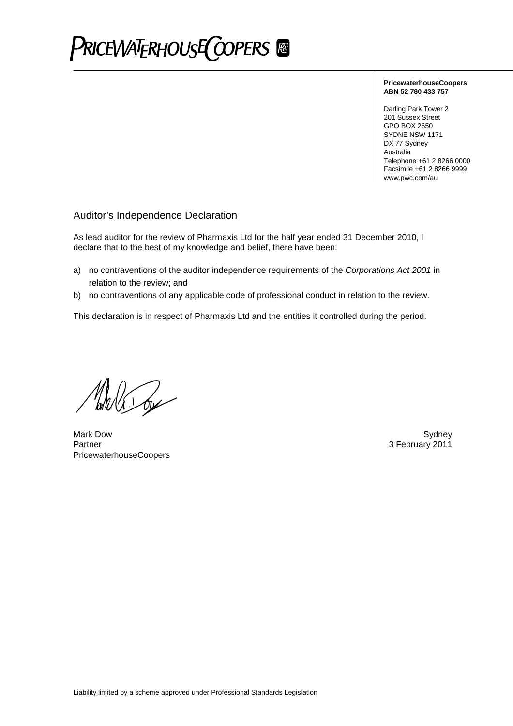

## **PricewaterhouseCoopers ABN 52 780 433 757**

Darling Park Tower 2 201 Sussex Street GPO BOX 2650 SYDNE NSW 1171 DX 77 Sydney Australia Telephone +61 2 8266 0000 Facsimile +61 2 8266 9999 www.pwc.com/au

# Auditor's Independence Declaration

As lead auditor for the review of Pharmaxis Ltd for the half year ended 31 December 2010, I declare that to the best of my knowledge and belief, there have been:

- a) no contraventions of the auditor independence requirements of the *Corporations Act 2001* in relation to the review; and
- b) no contraventions of any applicable code of professional conduct in relation to the review.

This declaration is in respect of Pharmaxis Ltd and the entities it controlled during the period.

Pola Co

Mark Dow Sydney Partner 3 February 2011 PricewaterhouseCoopers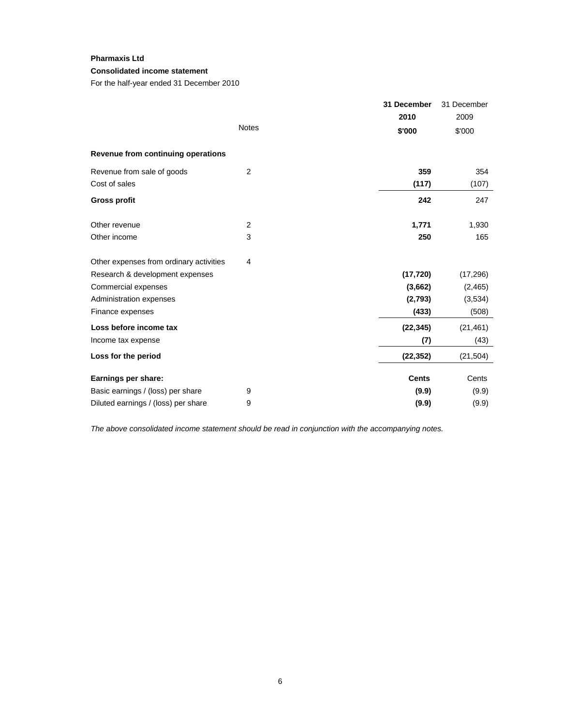# **Consolidated income statement**

For the half-year ended 31 December 2010

|                                         |                | 31 December  | 31 December |
|-----------------------------------------|----------------|--------------|-------------|
|                                         |                | 2010         | 2009        |
|                                         | <b>Notes</b>   | \$'000       | \$'000      |
| Revenue from continuing operations      |                |              |             |
| Revenue from sale of goods              | 2              | 359          | 354         |
| Cost of sales                           |                | (117)        | (107)       |
| <b>Gross profit</b>                     |                | 242          | 247         |
| Other revenue                           | $\overline{c}$ | 1,771        | 1,930       |
| Other income                            | 3              | 250          | 165         |
| Other expenses from ordinary activities | 4              |              |             |
| Research & development expenses         |                | (17, 720)    | (17, 296)   |
| Commercial expenses                     |                | (3,662)      | (2,465)     |
| Administration expenses                 |                | (2,793)      | (3,534)     |
| Finance expenses                        |                | (433)        | (508)       |
| Loss before income tax                  |                | (22, 345)    | (21, 461)   |
| Income tax expense                      |                | (7)          | (43)        |
| Loss for the period                     |                | (22, 352)    | (21, 504)   |
| Earnings per share:                     |                | <b>Cents</b> | Cents       |
| Basic earnings / (loss) per share       | 9              | (9.9)        | (9.9)       |
| Diluted earnings / (loss) per share     | 9              | (9.9)        | (9.9)       |

*The above consolidated income statement should be read in conjunction with the accompanying notes.*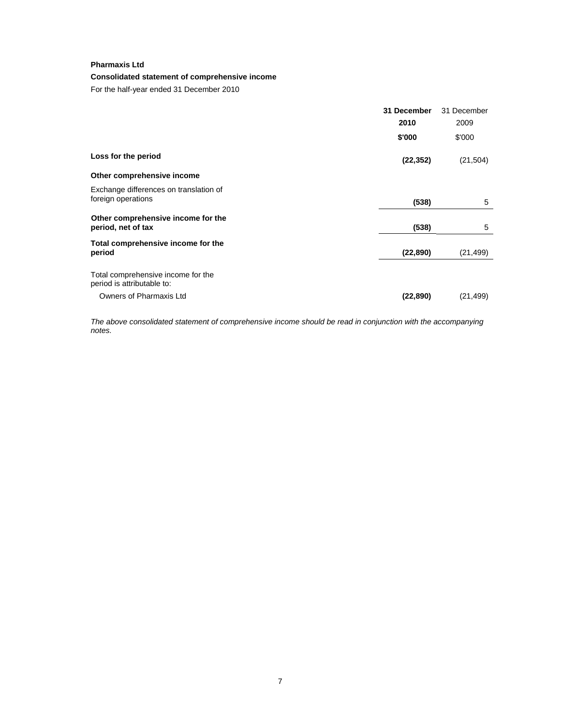# **Consolidated statement of comprehensive income**

For the half-year ended 31 December 2010

|                                                                  | 31 December | 31 December |
|------------------------------------------------------------------|-------------|-------------|
|                                                                  | 2010        | 2009        |
|                                                                  | \$'000      | \$'000      |
| Loss for the period                                              | (22, 352)   | (21, 504)   |
| Other comprehensive income                                       |             |             |
| Exchange differences on translation of<br>foreign operations     | (538)       | 5           |
| Other comprehensive income for the<br>period, net of tax         | (538)       | 5           |
| Total comprehensive income for the<br>period                     | (22, 890)   | (21, 499)   |
| Total comprehensive income for the<br>period is attributable to: |             |             |
| Owners of Pharmaxis Ltd                                          | (22, 890)   | (21, 499)   |

*The above consolidated statement of comprehensive income should be read in conjunction with the accompanying notes.*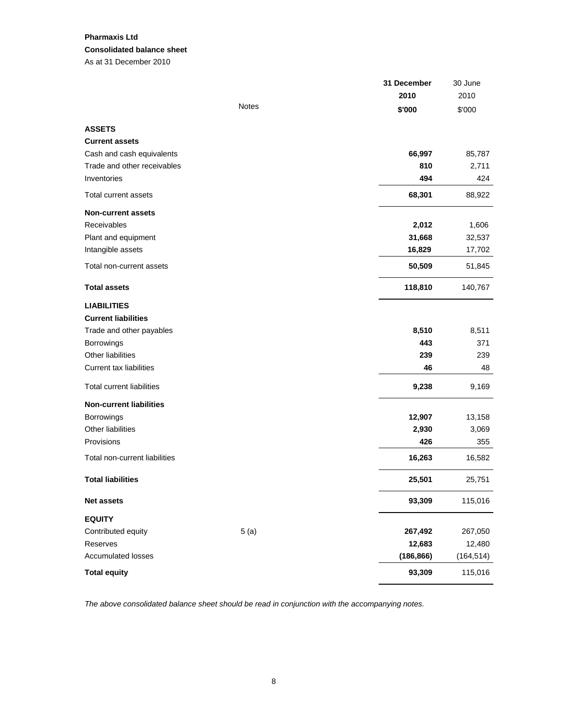# **Pharmaxis Ltd Consolidated balance sheet**  As at 31 December 2010

|                                  |              | 31 December | 30 June    |
|----------------------------------|--------------|-------------|------------|
|                                  |              | 2010        | 2010       |
|                                  | <b>Notes</b> | \$'000      | \$'000     |
| <b>ASSETS</b>                    |              |             |            |
| <b>Current assets</b>            |              |             |            |
| Cash and cash equivalents        |              | 66,997      | 85,787     |
| Trade and other receivables      |              | 810         | 2,711      |
| Inventories                      |              | 494         | 424        |
| Total current assets             |              | 68,301      | 88,922     |
| <b>Non-current assets</b>        |              |             |            |
| Receivables                      |              | 2,012       | 1,606      |
| Plant and equipment              |              | 31,668      | 32,537     |
| Intangible assets                |              | 16,829      | 17,702     |
| Total non-current assets         |              | 50,509      | 51,845     |
| <b>Total assets</b>              |              | 118,810     | 140,767    |
| <b>LIABILITIES</b>               |              |             |            |
| <b>Current liabilities</b>       |              |             |            |
| Trade and other payables         |              | 8,510       | 8,511      |
| Borrowings                       |              | 443         | 371        |
| Other liabilities                |              | 239         | 239        |
| <b>Current tax liabilities</b>   |              | 46          | 48         |
| <b>Total current liabilities</b> |              | 9,238       | 9,169      |
| <b>Non-current liabilities</b>   |              |             |            |
| Borrowings                       |              | 12,907      | 13,158     |
| <b>Other liabilities</b>         |              | 2,930       | 3,069      |
| Provisions                       |              | 426         | 355        |
| Total non-current liabilities    |              | 16,263      | 16,582     |
| <b>Total liabilities</b>         |              | 25,501      | 25,751     |
| <b>Net assets</b>                |              | 93,309      | 115,016    |
| <b>EQUITY</b>                    |              |             |            |
| Contributed equity               | 5(a)         | 267,492     | 267,050    |
| Reserves                         |              | 12,683      | 12,480     |
| Accumulated losses               |              | (186, 866)  | (164, 514) |
| <b>Total equity</b>              |              | 93,309      | 115,016    |

*The above consolidated balance sheet should be read in conjunction with the accompanying notes.*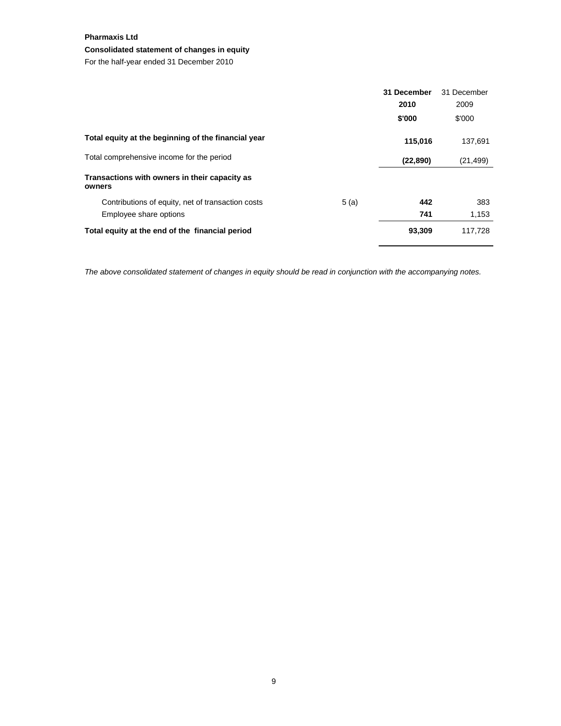# **Consolidated statement of changes in equity**

For the half-year ended 31 December 2010

|                                                           | 31 December | 31 December |
|-----------------------------------------------------------|-------------|-------------|
|                                                           | 2010        | 2009        |
|                                                           | \$'000      | \$'000      |
| Total equity at the beginning of the financial year       | 115,016     | 137,691     |
| Total comprehensive income for the period                 | (22, 890)   | (21, 499)   |
| Transactions with owners in their capacity as<br>owners   |             |             |
| 5(a)<br>Contributions of equity, net of transaction costs | 442         | 383         |
| Employee share options                                    | 741         | 1,153       |
| Total equity at the end of the financial period           | 93,309      | 117,728     |

*The above consolidated statement of changes in equity should be read in conjunction with the accompanying notes.*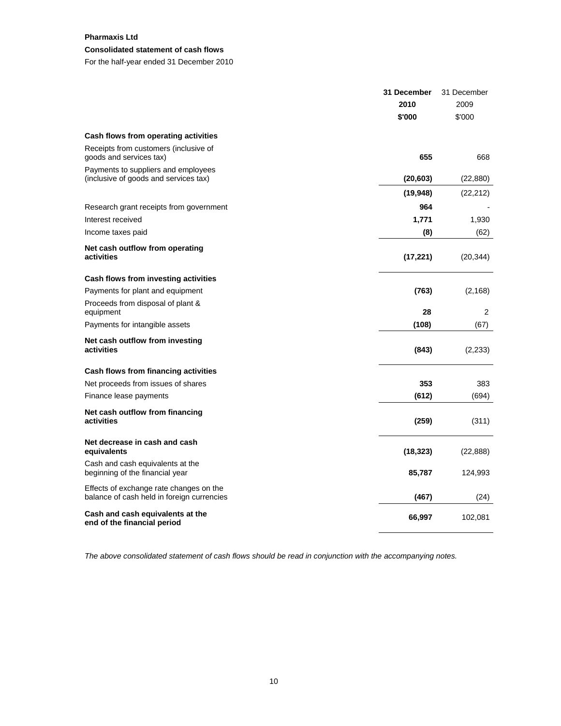# **Consolidated statement of cash flows**

For the half-year ended 31 December 2010

|                                                                                       | 31 December | 31 December |
|---------------------------------------------------------------------------------------|-------------|-------------|
|                                                                                       | 2010        | 2009        |
|                                                                                       | \$'000      | \$'000      |
| Cash flows from operating activities                                                  |             |             |
| Receipts from customers (inclusive of<br>goods and services tax)                      | 655         | 668         |
| Payments to suppliers and employees<br>(inclusive of goods and services tax)          | (20, 603)   | (22, 880)   |
|                                                                                       | (19, 948)   | (22, 212)   |
| Research grant receipts from government                                               | 964         |             |
| Interest received                                                                     | 1,771       | 1,930       |
| Income taxes paid                                                                     | (8)         | (62)        |
| Net cash outflow from operating<br>activities                                         | (17, 221)   | (20, 344)   |
| Cash flows from investing activities                                                  |             |             |
| Payments for plant and equipment                                                      | (763)       | (2, 168)    |
| Proceeds from disposal of plant &                                                     |             |             |
| equipment                                                                             | 28          | 2           |
| Payments for intangible assets                                                        | (108)       | (67)        |
| Net cash outflow from investing<br>activities                                         | (843)       | (2, 233)    |
| Cash flows from financing activities                                                  |             |             |
| Net proceeds from issues of shares                                                    | 353         | 383         |
| Finance lease payments                                                                | (612)       | (694)       |
| Net cash outflow from financing<br>activities                                         | (259)       | (311)       |
| Net decrease in cash and cash<br>equivalents                                          | (18, 323)   | (22, 888)   |
| Cash and cash equivalents at the<br>beginning of the financial year                   | 85,787      | 124,993     |
| Effects of exchange rate changes on the<br>balance of cash held in foreign currencies | (467)       | (24)        |
| Cash and cash equivalents at the<br>end of the financial period                       | 66,997      | 102,081     |

*The above consolidated statement of cash flows should be read in conjunction with the accompanying notes.*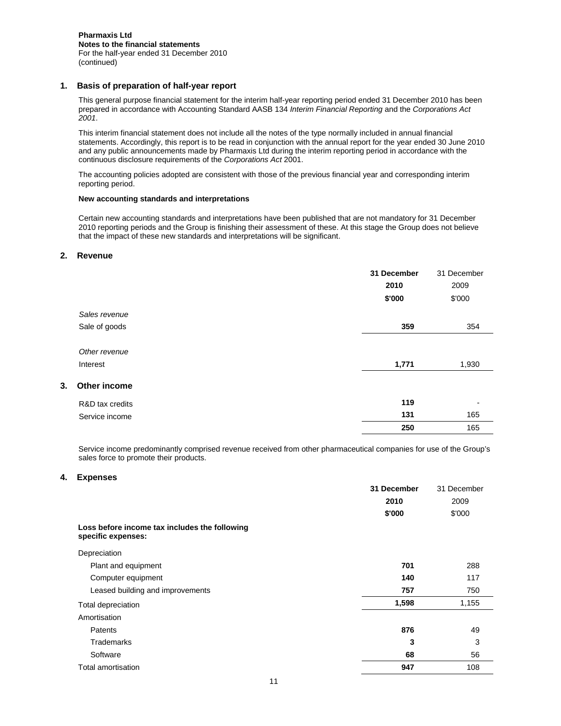# **1. Basis of preparation of half-year report**

This general purpose financial statement for the interim half-year reporting period ended 31 December 2010 has been prepared in accordance with Accounting Standard AASB 134 *Interim Financial Reporting* and the *Corporations Act 2001*.

This interim financial statement does not include all the notes of the type normally included in annual financial statements. Accordingly, this report is to be read in conjunction with the annual report for the year ended 30 June 2010 and any public announcements made by Pharmaxis Ltd during the interim reporting period in accordance with the continuous disclosure requirements of the *Corporations Act* 2001.

The accounting policies adopted are consistent with those of the previous financial year and corresponding interim reporting period.

#### **New accounting standards and interpretations**

Certain new accounting standards and interpretations have been published that are not mandatory for 31 December 2010 reporting periods and the Group is finishing their assessment of these. At this stage the Group does not believe that the impact of these new standards and interpretations will be significant.

## **2. Revenue**

|    |                           | 31 December | 31 December              |
|----|---------------------------|-------------|--------------------------|
|    |                           | 2010        | 2009                     |
|    |                           | \$'000      | \$'000                   |
|    | Sales revenue             |             |                          |
|    | Sale of goods             | 359         | 354                      |
|    | Other revenue<br>Interest | 1,771       | 1,930                    |
| 3. | Other income              |             |                          |
|    | R&D tax credits           | 119         | $\overline{\phantom{a}}$ |
|    | Service income            | 131         | 165                      |
|    |                           | 250         | 165                      |

Service income predominantly comprised revenue received from other pharmaceutical companies for use of the Group's sales force to promote their products.

#### **4. Expenses**

|                                                                     | 31 December | 31 December |
|---------------------------------------------------------------------|-------------|-------------|
|                                                                     | 2010        | 2009        |
|                                                                     | \$'000      | \$'000      |
| Loss before income tax includes the following<br>specific expenses: |             |             |
| Depreciation                                                        |             |             |
| Plant and equipment                                                 | 701         | 288         |
| Computer equipment                                                  | 140         | 117         |
| Leased building and improvements                                    | 757         | 750         |
| Total depreciation                                                  | 1,598       | 1,155       |
| Amortisation                                                        |             |             |
| Patents                                                             | 876         | 49          |
| Trademarks                                                          | 3           | 3           |
| Software                                                            | 68          | 56          |
| Total amortisation                                                  | 947         | 108         |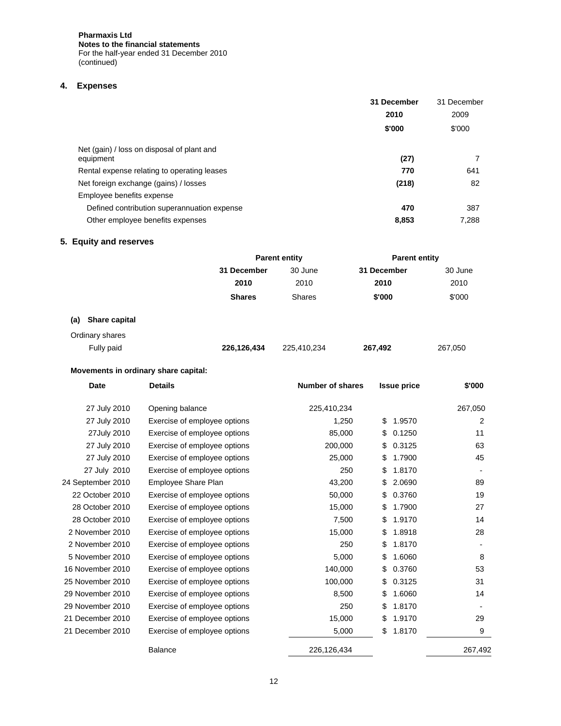**Pharmaxis Ltd Notes to the financial statements**  For the half-year ended 31 December 2010 (continued)

# **4. Expenses**

|                                                         | 31 December | 31 December |
|---------------------------------------------------------|-------------|-------------|
|                                                         | 2010        | 2009        |
|                                                         | \$'000      | \$'000      |
| Net (gain) / loss on disposal of plant and<br>equipment | (27)        |             |
| Rental expense relating to operating leases             | 770         | 641         |
| Net foreign exchange (gains) / losses                   | (218)       | 82          |
| Employee benefits expense                               |             |             |
| Defined contribution superannuation expense             | 470         | 387         |
| Other employee benefits expenses                        | 8,853       | 7,288       |

# **5. Equity and reserves**

|                      | <b>Parent entity</b> |               | <b>Parent entity</b> |         |
|----------------------|----------------------|---------------|----------------------|---------|
|                      | 31 December          | 30 June       | 31 December          | 30 June |
|                      | 2010                 | 2010          | 2010                 | 2010    |
|                      | <b>Shares</b>        | <b>Shares</b> | \$'000               | \$'000  |
| Share capital<br>(a) |                      |               |                      |         |
| Ordinary shares      |                      |               |                      |         |
| Fully paid           | 226,126,434          | 225,410,234   | 267,492              | 267,050 |

# **Movements in ordinary share capital:**

| <b>Date</b>       | <b>Details</b>               | <b>Number of shares</b> | <b>Issue price</b> | \$'000  |
|-------------------|------------------------------|-------------------------|--------------------|---------|
| 27 July 2010      | Opening balance              | 225,410,234             |                    | 267,050 |
| 27 July 2010      | Exercise of employee options | 1,250                   | 1.9570<br>\$       | 2       |
| 27July 2010       | Exercise of employee options | 85,000                  | 0.1250<br>\$       | 11      |
| 27 July 2010      | Exercise of employee options | 200,000                 | 0.3125<br>S        | 63      |
| 27 July 2010      | Exercise of employee options | 25,000                  | 1.7900             | 45      |
| 27 July 2010      | Exercise of employee options | 250                     | 1.8170<br>\$       |         |
| 24 September 2010 | Employee Share Plan          | 43,200                  | 2.0690             | 89      |
| 22 October 2010   | Exercise of employee options | 50,000                  | 0.3760<br>\$       | 19      |
| 28 October 2010   | Exercise of employee options | 15,000                  | 1.7900<br>\$       | 27      |
| 28 October 2010   | Exercise of employee options | 7,500                   | 1.9170<br>\$       | 14      |
| 2 November 2010   | Exercise of employee options | 15,000                  | 1.8918             | 28      |
| 2 November 2010   | Exercise of employee options | 250                     | 1.8170<br>\$       |         |
| 5 November 2010   | Exercise of employee options | 5,000                   | 1.6060             | 8       |
| 16 November 2010  | Exercise of employee options | 140,000                 | 0.3760             | 53      |
| 25 November 2010  | Exercise of employee options | 100,000                 | 0.3125<br>\$       | 31      |
| 29 November 2010  | Exercise of employee options | 8,500                   | 1.6060             | 14      |
| 29 November 2010  | Exercise of employee options | 250                     | 1.8170             |         |
| 21 December 2010  | Exercise of employee options | 15,000                  | 1.9170<br>\$       | 29      |
| 21 December 2010  | Exercise of employee options | 5,000                   | 1.8170<br>\$       | 9       |
|                   | <b>Balance</b>               | 226,126,434             |                    | 267,492 |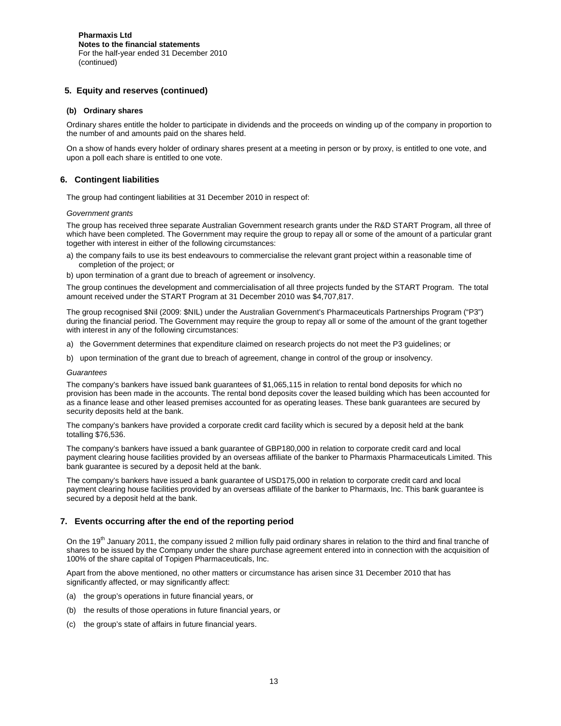# **5. Equity and reserves (continued)**

## **(b) Ordinary shares**

Ordinary shares entitle the holder to participate in dividends and the proceeds on winding up of the company in proportion to the number of and amounts paid on the shares held.

On a show of hands every holder of ordinary shares present at a meeting in person or by proxy, is entitled to one vote, and upon a poll each share is entitled to one vote.

## **6. Contingent liabilities**

The group had contingent liabilities at 31 December 2010 in respect of:

#### *Government grants*

The group has received three separate Australian Government research grants under the R&D START Program, all three of which have been completed. The Government may require the group to repay all or some of the amount of a particular grant together with interest in either of the following circumstances:

- a) the company fails to use its best endeavours to commercialise the relevant grant project within a reasonable time of completion of the project; or
- b) upon termination of a grant due to breach of agreement or insolvency.

The group continues the development and commercialisation of all three projects funded by the START Program. The total amount received under the START Program at 31 December 2010 was \$4,707,817.

The group recognised \$Nil (2009: \$NIL) under the Australian Government's Pharmaceuticals Partnerships Program ("P3") during the financial period. The Government may require the group to repay all or some of the amount of the grant together with interest in any of the following circumstances:

- a) the Government determines that expenditure claimed on research projects do not meet the P3 guidelines; or
- b) upon termination of the grant due to breach of agreement, change in control of the group or insolvency.

#### *Guarantees*

The company's bankers have issued bank guarantees of \$1,065,115 in relation to rental bond deposits for which no provision has been made in the accounts. The rental bond deposits cover the leased building which has been accounted for as a finance lease and other leased premises accounted for as operating leases. These bank guarantees are secured by security deposits held at the bank.

The company's bankers have provided a corporate credit card facility which is secured by a deposit held at the bank totalling \$76,536.

The company's bankers have issued a bank guarantee of GBP180,000 in relation to corporate credit card and local payment clearing house facilities provided by an overseas affiliate of the banker to Pharmaxis Pharmaceuticals Limited. This bank guarantee is secured by a deposit held at the bank.

The company's bankers have issued a bank guarantee of USD175,000 in relation to corporate credit card and local payment clearing house facilities provided by an overseas affiliate of the banker to Pharmaxis, Inc. This bank guarantee is secured by a deposit held at the bank.

# **7. Events occurring after the end of the reporting period**

On the 19<sup>th</sup> January 2011, the company issued 2 million fully paid ordinary shares in relation to the third and final tranche of shares to be issued by the Company under the share purchase agreement entered into in connection with the acquisition of 100% of the share capital of Topigen Pharmaceuticals, Inc.

Apart from the above mentioned, no other matters or circumstance has arisen since 31 December 2010 that has significantly affected, or may significantly affect:

- (a) the group's operations in future financial years, or
- (b) the results of those operations in future financial years, or
- (c) the group's state of affairs in future financial years.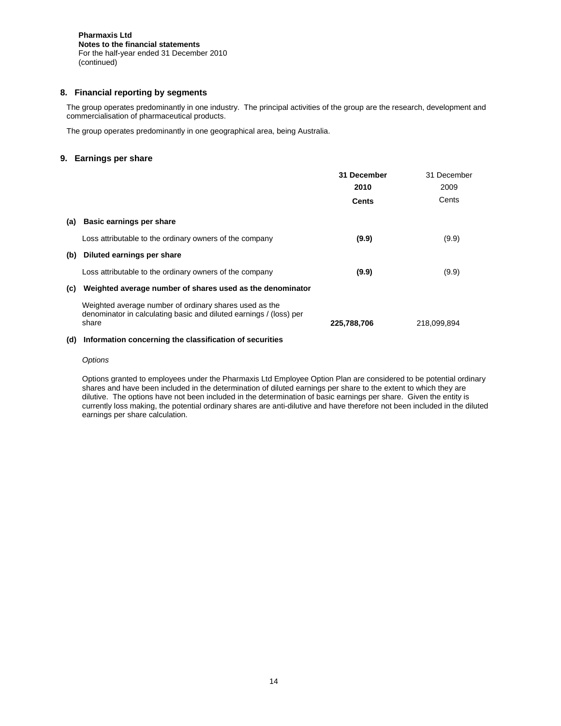# **8. Financial reporting by segments**

The group operates predominantly in one industry. The principal activities of the group are the research, development and commercialisation of pharmaceutical products.

The group operates predominantly in one geographical area, being Australia.

# **9. Earnings per share**

|     |                                                                                                                                       | 31 December | 31 December |
|-----|---------------------------------------------------------------------------------------------------------------------------------------|-------------|-------------|
|     |                                                                                                                                       | 2010        | 2009        |
|     |                                                                                                                                       | Cents       | Cents       |
| (a) | <b>Basic earnings per share</b>                                                                                                       |             |             |
|     | Loss attributable to the ordinary owners of the company                                                                               | (9.9)       | (9.9)       |
| (b) | Diluted earnings per share                                                                                                            |             |             |
|     | Loss attributable to the ordinary owners of the company                                                                               | (9.9)       | (9.9)       |
| (c) | Weighted average number of shares used as the denominator                                                                             |             |             |
|     | Weighted average number of ordinary shares used as the<br>denominator in calculating basic and diluted earnings / (loss) per<br>share | 225,788,706 | 218,099,894 |
|     |                                                                                                                                       |             |             |

# **(d) Information concerning the classification of securities**

#### *Options*

Options granted to employees under the Pharmaxis Ltd Employee Option Plan are considered to be potential ordinary shares and have been included in the determination of diluted earnings per share to the extent to which they are dilutive. The options have not been included in the determination of basic earnings per share. Given the entity is currently loss making, the potential ordinary shares are anti-dilutive and have therefore not been included in the diluted earnings per share calculation.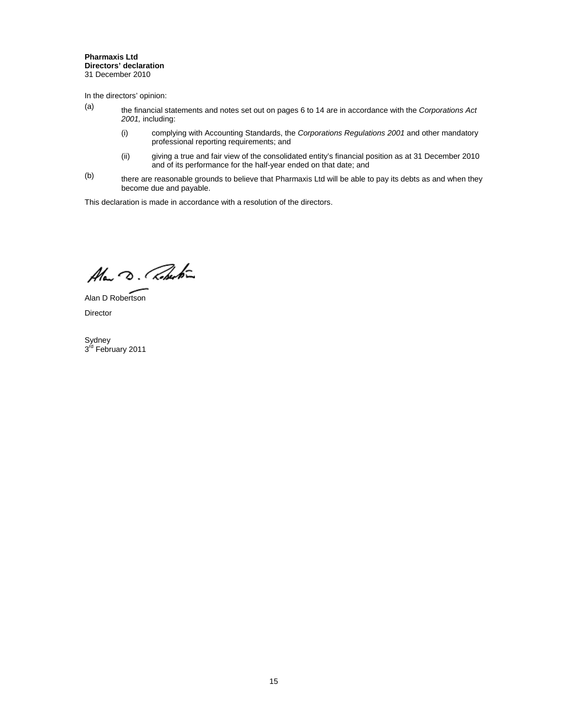#### **Pharmaxis Ltd Directors' declaration**  31 December 2010

In the directors' opinion:

- (a) the financial statements and notes set out on pages 6 to 14 are in accordance with the *Corporations Act 2001,* including:
	- (i) complying with Accounting Standards, the *Corporations Regulations 2001* and other mandatory professional reporting requirements; and
	- (ii) giving a true and fair view of the consolidated entity's financial position as at 31 December 2010 and of its performance for the half-year ended on that date; and
- $(b)$  there are reasonable grounds to believe that Pharmaxis Ltd will be able to pay its debts as and when they become due and payable.

This declaration is made in accordance with a resolution of the directors.

Alan D. Roberton

Alan D Robertson Director

Sydney<br>3<sup>rd</sup> February 2011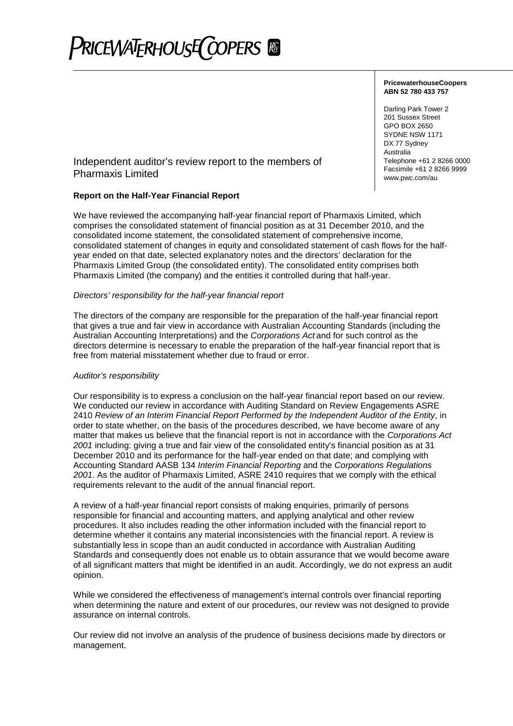

# **PricewaterhouseCoopers ABN 52 780 433 757**

Darling Park Tower 2 201 Sussex Street GPO BOX 2650 SYDNE NSW 1171 DX 77 Sydney Australia Telephone +61 2 8266 0000 Facsimile +61 2 8266 9999 www.pwc.com/au

# Independent auditor's review report to the members of Pharmaxis Limited

# **Report on the Half-Year Financial Report**

We have reviewed the accompanying half-year financial report of Pharmaxis Limited, which comprises the consolidated statement of financial position as at 31 December 2010, and the consolidated income statement, the consolidated statement of comprehensive income, consolidated statement of changes in equity and consolidated statement of cash flows for the halfyear ended on that date, selected explanatory notes and the directors' declaration for the Pharmaxis Limited Group (the consolidated entity). The consolidated entity comprises both Pharmaxis Limited (the company) and the entities it controlled during that half-year.

# *Directors' responsibility for the half-year financial report*

The directors of the company are responsible for the preparation of the half-year financial report that gives a true and fair view in accordance with Australian Accounting Standards (including the Australian Accounting Interpretations) and the *Corporations Act* and for such control as the directors determine is necessary to enable the preparation of the half-year financial report that is free from material misstatement whether due to fraud or error.

# *Auditor's responsibility*

Our responsibility is to express a conclusion on the half-year financial report based on our review. We conducted our review in accordance with Auditing Standard on Review Engagements ASRE 2410 *Review of an Interim Financial Report Performed by the Independent Auditor of the Entity*, in order to state whether, on the basis of the procedures described, we have become aware of any matter that makes us believe that the financial report is not in accordance with the *Corporations Act 2001* including: giving a true and fair view of the consolidated entity's financial position as at 31 December 2010 and its performance for the half-year ended on that date; and complying with Accounting Standard AASB 134 *Interim Financial Reporting* and the *Corporations Regulations 2001*. As the auditor of Pharmaxis Limited, ASRE 2410 requires that we comply with the ethical requirements relevant to the audit of the annual financial report.

A review of a half-year financial report consists of making enquiries, primarily of persons responsible for financial and accounting matters, and applying analytical and other review procedures. It also includes reading the other information included with the financial report to determine whether it contains any material inconsistencies with the financial report. A review is substantially less in scope than an audit conducted in accordance with Australian Auditing Standards and consequently does not enable us to obtain assurance that we would become aware of all significant matters that might be identified in an audit. Accordingly, we do not express an audit opinion.

While we considered the effectiveness of management's internal controls over financial reporting when determining the nature and extent of our procedures, our review was not designed to provide assurance on internal controls.

Our review did not involve an analysis of the prudence of business decisions made by directors or management.